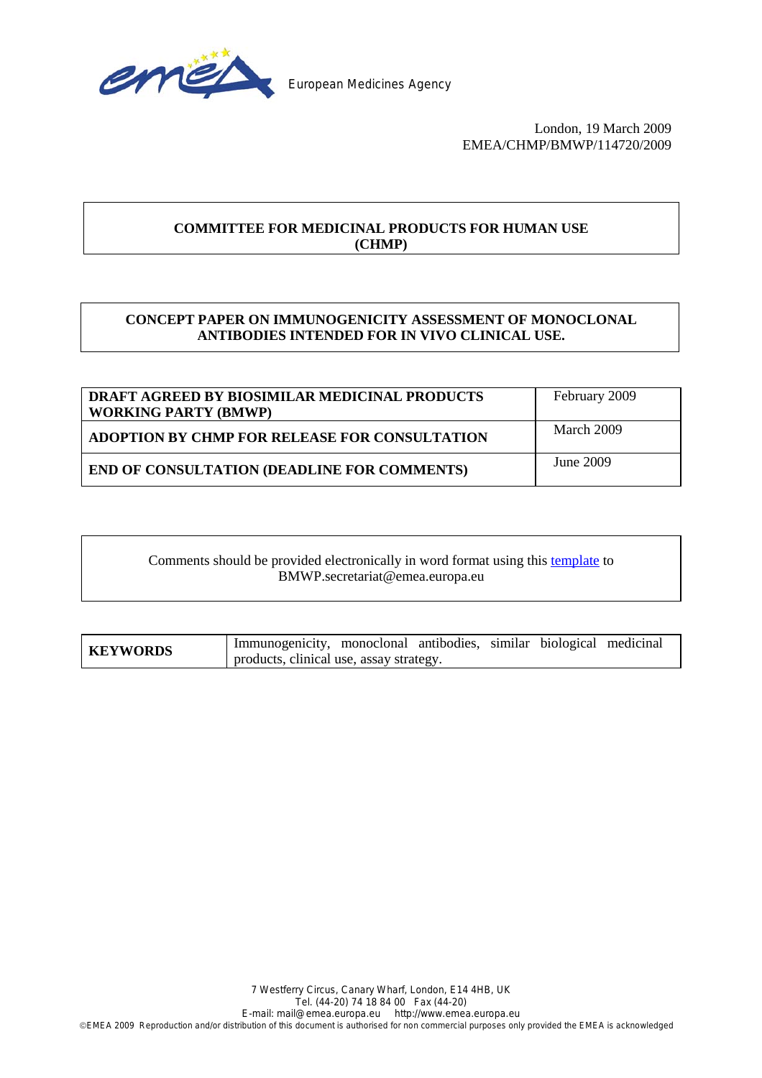

European Medicines Agency

 London, 19 March 2009 EMEA/CHMP/BMWP/114720/2009

# **COMMITTEE FOR MEDICINAL PRODUCTS FOR HUMAN USE (CHMP)**

# **CONCEPT PAPER ON IMMUNOGENICITY ASSESSMENT OF MONOCLONAL ANTIBODIES INTENDED FOR IN VIVO CLINICAL USE.**

| DRAFT AGREED BY BIOSIMILAR MEDICINAL PRODUCTS<br><b>WORKING PARTY (BMWP)</b> | February 2009 |
|------------------------------------------------------------------------------|---------------|
| <b>ADOPTION BY CHMP FOR RELEASE FOR CONSULTATION</b>                         | March 2009    |
| <b>END OF CONSULTATION (DEADLINE FOR COMMENTS)</b>                           | June 2009     |

Comments should be provided electronically in word format using this [template](www.emea.europa.eu/pdfs/human/regaffair/submitcomment.doc) to BMWP.secretariat@emea.europa.eu

**KEYWORDS** Immunogenicity, monoclonal antibodies, similar biological medicinal products, clinical use, assay strategy.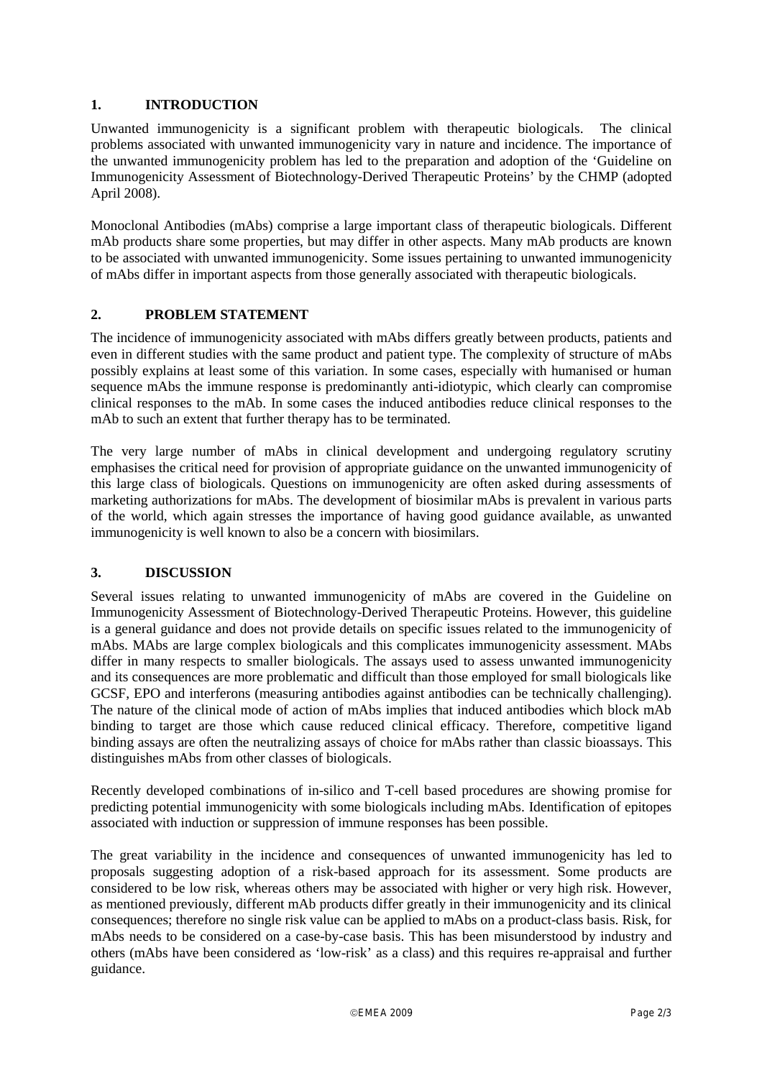### **1. INTRODUCTION**

Unwanted immunogenicity is a significant problem with therapeutic biologicals. The clinical problems associated with unwanted immunogenicity vary in nature and incidence. The importance of the unwanted immunogenicity problem has led to the preparation and adoption of the 'Guideline on Immunogenicity Assessment of Biotechnology-Derived Therapeutic Proteins' by the CHMP (adopted April 2008).

Monoclonal Antibodies (mAbs) comprise a large important class of therapeutic biologicals. Different mAb products share some properties, but may differ in other aspects. Many mAb products are known to be associated with unwanted immunogenicity. Some issues pertaining to unwanted immunogenicity of mAbs differ in important aspects from those generally associated with therapeutic biologicals.

### **2. PROBLEM STATEMENT**

The incidence of immunogenicity associated with mAbs differs greatly between products, patients and even in different studies with the same product and patient type. The complexity of structure of mAbs possibly explains at least some of this variation. In some cases, especially with humanised or human sequence mAbs the immune response is predominantly anti-idiotypic, which clearly can compromise clinical responses to the mAb. In some cases the induced antibodies reduce clinical responses to the mAb to such an extent that further therapy has to be terminated.

The very large number of mAbs in clinical development and undergoing regulatory scrutiny emphasises the critical need for provision of appropriate guidance on the unwanted immunogenicity of this large class of biologicals. Questions on immunogenicity are often asked during assessments of marketing authorizations for mAbs. The development of biosimilar mAbs is prevalent in various parts of the world, which again stresses the importance of having good guidance available, as unwanted immunogenicity is well known to also be a concern with biosimilars.

#### **3. DISCUSSION**

Several issues relating to unwanted immunogenicity of mAbs are covered in the Guideline on Immunogenicity Assessment of Biotechnology-Derived Therapeutic Proteins. However, this guideline is a general guidance and does not provide details on specific issues related to the immunogenicity of mAbs. MAbs are large complex biologicals and this complicates immunogenicity assessment. MAbs differ in many respects to smaller biologicals. The assays used to assess unwanted immunogenicity and its consequences are more problematic and difficult than those employed for small biologicals like GCSF, EPO and interferons (measuring antibodies against antibodies can be technically challenging). The nature of the clinical mode of action of mAbs implies that induced antibodies which block mAb binding to target are those which cause reduced clinical efficacy. Therefore, competitive ligand binding assays are often the neutralizing assays of choice for mAbs rather than classic bioassays. This distinguishes mAbs from other classes of biologicals.

Recently developed combinations of in-silico and T-cell based procedures are showing promise for predicting potential immunogenicity with some biologicals including mAbs. Identification of epitopes associated with induction or suppression of immune responses has been possible.

The great variability in the incidence and consequences of unwanted immunogenicity has led to proposals suggesting adoption of a risk-based approach for its assessment. Some products are considered to be low risk, whereas others may be associated with higher or very high risk. However, as mentioned previously, different mAb products differ greatly in their immunogenicity and its clinical consequences; therefore no single risk value can be applied to mAbs on a product-class basis. Risk, for mAbs needs to be considered on a case-by-case basis. This has been misunderstood by industry and others (mAbs have been considered as 'low-risk' as a class) and this requires re-appraisal and further guidance.